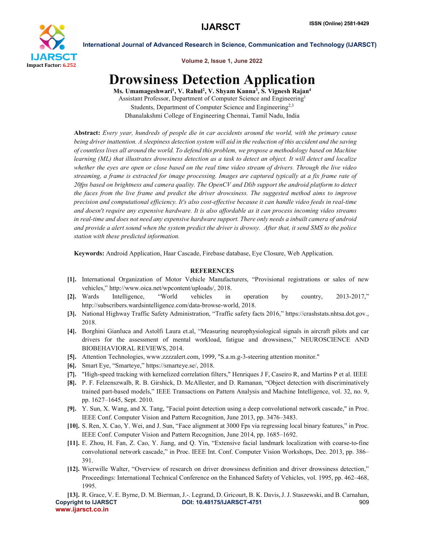

International Journal of Advanced Research in Science, Communication and Technology (IJARSCT)

Volume 2, Issue 1, June 2022

## Drowsiness Detection Application

Ms. Umamageshwari<sup>1</sup>, V. Rahul<sup>2</sup>, V. Shyam Kanna<sup>3</sup>, S. Vignesh Rajan<sup>4</sup> Assistant Professor, Department of Computer Science and Engineering1 Students, Department of Computer Science and Engineering<sup>2,3</sup> Dhanalakshmi College of Engineering Chennai, Tamil Nadu, India

Abstract: *Every year, hundreds of people die in car accidents around the world, with the primary cause being driver inattention. A sleepiness detection system will aid in the reduction of this accident and the saving of countless lives all around the world. To defend this problem, we propose a methodology based on Machine learning (ML) that illustrates drowsiness detection as a task to detect an object. It will detect and localize whether the eyes are open or close based on the real time video stream of drivers. Through the live video streaming, a frame is extracted for image processing. Images are captured typically at a fix frame rate of 20fps based on brightness and camera quality. The OpenCV and Dlib support the android platform to detect the faces from the live frame and predict the driver drowsiness. The suggested method aims to improve precision and computational efficiency. It's also cost-effective because it can handle video feeds in real-time and doesn't require any expensive hardware. It is also affordable as it can process incoming video streams in real-time and does not need any expensive hardware support. There only needs a inbuilt camera of android and provide a alert sound when the system predict the driver is drowsy. After that, it send SMS to the police station with these predicted information.*

Keywords: Android Application, Haar Cascade, Firebase database, Eye Closure, Web Application.

## **REFERENCES**

- [1]. International Organization of Motor Vehicle Manufacturers, "Provisional registrations or sales of new vehicles," http://www.oica.net/wpcontent/uploads/, 2018.
- [2]. Wards Intelligence, "World vehicles in operation by country, 2013-2017," http://subscribers.wardsintelligence.com/data-browse-world, 2018.
- [3]. National Highway Traffic Safety Administration, "Traffic safety facts 2016," https://crashstats.nhtsa.dot.gov., 2018.
- [4]. Borghini Gianluca and Astolfi Laura et.al, "Measuring neurophysiological signals in aircraft pilots and car drivers for the assessment of mental workload, fatigue and drowsiness," NEUROSCIENCE AND BIOBEHAVIORAL REVIEWS, 2014.
- [5]. Attention Technologies, www.zzzzalert.com, 1999, "S.a.m.g-3-steering attention monitor."
- [6]. Smart Eye, "Smarteye," https://smarteye.se/, 2018.
- [7]. "High-speed tracking with kernelized correlation filters," Henriques J F, Caseiro R, and Martins P et al. IEEE
- [8]. P. F. Felzenszwalb, R. B. Girshick, D. McAllester, and D. Ramanan, "Object detection with discriminatively trained part-based models," IEEE Transactions on Pattern Analysis and Machine Intelligence, vol. 32, no. 9, pp. 1627–1645, Sept. 2010.
- [9]. Y. Sun, X. Wang, and X. Tang, "Facial point detection using a deep convolutional network cascade," in Proc. IEEE Conf. Computer Vision and Pattern Recognition, June 2013, pp. 3476–3483.
- [10]. S. Ren, X. Cao, Y. Wei, and J. Sun, "Face alignment at 3000 Fps via regressing local binary features," in Proc. IEEE Conf. Computer Vision and Pattern Recognition, June 2014, pp. 1685–1692.
- [11]. E. Zhou, H. Fan, Z. Cao, Y. Jiang, and Q. Yin, "Extensive facial landmark localization with coarse-to-fine convolutional network cascade," in Proc. IEEE Int. Conf. Computer Vision Workshops, Dec. 2013, pp. 386– 391.
- [12]. Wierwille Walter, "Overview of research on driver drowsiness definition and driver drowsiness detection," Proceedings: International Technical Conference on the Enhanced Safety of Vehicles, vol. 1995, pp. 462–468, 1995.

Copyright to IJARSCT DOI: 10.48175/IJARSCT-4751 909 www.ijarsct.co.in [13]. R. Grace, V. E. Byrne, D. M. Bierman, J.-. Legrand, D. Gricourt, B. K. Davis, J. J. Staszewski, and B. Carnahan,